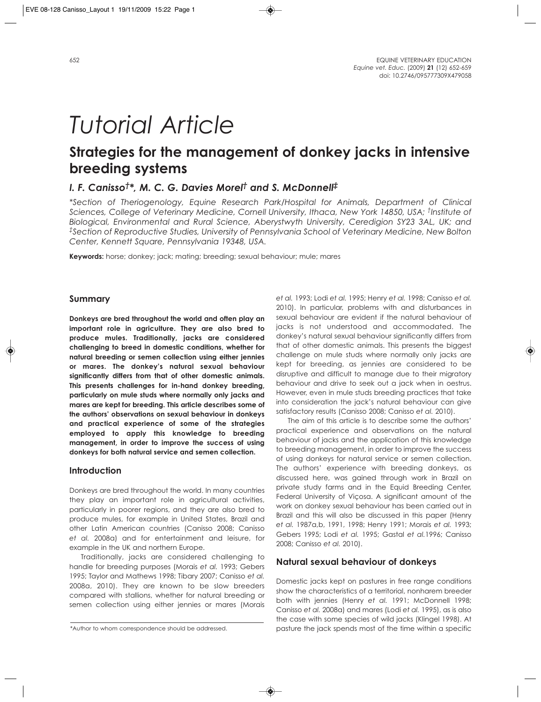# **Tutorial Article**

## Strategies for the management of donkey jacks in intensive breeding systems

### I. F. Canisso<sup>†\*</sup>, M. C. G. Davies Morel<sup>†</sup> and S. McDonnell<sup>‡</sup>

\*Section of Theriogenology, Equine Research Park/Hospital for Animals, Department of Clinical Sciences, College of Veterinary Medicine, Cornell University, Ithaca, New York 14850, USA; <sup>†</sup>Institute of Biological, Environmental and Rural Science, Aberystwyth University, Ceredigion SY23 3AL, UK; and <sup>‡</sup>Section of Reproductive Studies, University of Pennsylvania School of Veterinary Medicine, New Bolton Center, Kennett Square, Pennsylvania 19348, USA.

Keywords: horse; donkey; jack; mating; breeding; sexual behaviour; mule; mares

#### **Summary**

Donkeys are bred throughout the world and often play an important role in agriculture. They are also bred to produce mules. Traditionally, jacks are considered challenging to breed in domestic conditions, whether for natural breeding or semen collection using either jennies or mares. The donkey's natural sexual behaviour significantly differs from that of other domestic animals. This presents challenges for in-hand donkey breeding, particularly on mule studs where normally only jacks and mares are kept for breeding. This article describes some of the authors' observations on sexual behaviour in donkeys and practical experience of some of the strategies employed to apply this knowledge to breeding management, in order to improve the success of using donkeys for both natural service and semen collection.

#### **Introduction**

Donkeys are bred throughout the world. In many countries they play an important role in agricultural activities, particularly in poorer regions, and they are also bred to produce mules, for example in United States, Brazil and other Latin American countries (Canisso 2008; Canisso et al. 2008a) and for entertainment and leisure, for example in the UK and northern Europe.

Traditionally, jacks are considered challenging to handle for breeding purposes (Morais et al. 1993; Gebers 1995; Taylor and Mathews 1998; Tibary 2007; Canisso et al. 2008a, 2010). They are known to be slow breeders compared with stallions, whether for natural breeding or semen collection using either jennies or mares (Morais

et al. 1993; Lodi et al. 1995; Henry et al. 1998; Canisso et al. 2010). In particular, problems with and disturbances in sexual behaviour are evident if the natural behaviour of jacks is not understood and accommodated. The donkey's natural sexual behaviour significantly differs from that of other domestic animals. This presents the biggest challenge on mule studs where normally only jacks are kept for breeding, as jennies are considered to be disruptive and difficult to manage due to their migratory behaviour and drive to seek out a jack when in oestrus. However, even in mule studs breeding practices that take into consideration the jack's natural behaviour can give satisfactory results (Canisso 2008; Canisso et al. 2010).

The aim of this article is to describe some the authors' practical experience and observations on the natural behaviour of jacks and the application of this knowledge to breeding management, in order to improve the success of using donkeys for natural service or semen collection. The authors' experience with breeding donkeys, as discussed here, was gained through work in Brazil on private study farms and in the Equid Breeding Center, Federal University of Viçosa. A significant amount of the work on donkey sexual behaviour has been carried out in Brazil and this will also be discussed in this paper (Henry et al. 1987a, b, 1991, 1998; Henry 1991; Morais et al. 1993; Gebers 1995; Lodi et al. 1995; Gastal et al.1996; Canisso 2008; Canisso et al. 2010).

#### Natural sexual behaviour of donkeys

Domestic jacks kept on pastures in free range conditions show the characteristics of a territorial, nonharem breeder both with jennies (Henry et al. 1991; McDonnell 1998; Canisso et al. 2008a) and mares (Lodi et al. 1995), as is also the case with some species of wild jacks (Klingel 1998). At pasture the jack spends most of the time within a specific

<sup>\*</sup>Author to whom correspondence should be addressed.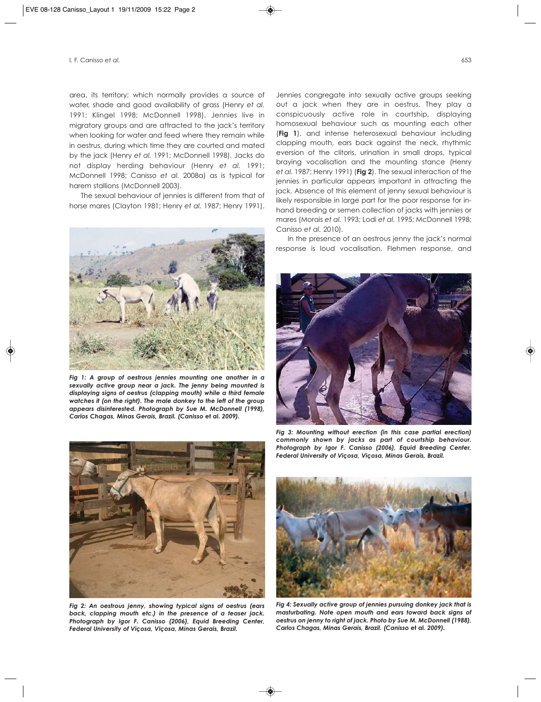area, its territory; which normally provides a source of water, shade and good availability of grass (Henry et al. 1991; Klingel 1998; McDonnell 1998). Jennies live in migratory groups and are attracted to the jack's territory when looking for water and feed where they remain while in oestrus, during which time they are courted and mated by the jack (Henry et al. 1991; McDonnell 1998). Jacks do not display herding behaviour (Henry et al. 1991; McDonnell 1998; Canisso et al. 2008a) as is typical for harem stallions (McDonnell 2003).

The sexual behaviour of jennies is different from that of horse mares (Clayton 1981; Henry et al. 1987; Henry 1991).



Fig 1: A group of oestrous jennies mounting one another in a sexually active group near a jack. The jenny being mounted is displaying signs of oestrus (clapping mouth) while a third female watches it (on the right). The male donkey to the left of the group appears disinterested. Photograph by Sue M. McDonnell (1998), Carlos Chagas, Minas Gerais, Brazil. (Canisso et al. 2009).

Jennies congregate into sexually active groups seeking out a jack when they are in oestrus. They play a conspicuously active role in courtship, displaying homosexual behaviour such as mounting each other (Fig 1), and intense heterosexual behaviour including clapping mouth, ears back against the neck, rhythmic eversion of the clitoris, urination in small drops, typical braying vocalisation and the mounting stance (Henry et al. 1987; Henry 1991) (Fig 2). The sexual interaction of the jennies in particular appears important in attracting the jack. Absence of this element of jenny sexual behaviour is likely responsible in large part for the poor response for inhand breeding or semen collection of jacks with jennies or mares (Morais et al. 1993; Lodi et al. 1995; McDonnell 1998; Canisso et al. 2010).

In the presence of an oestrous jenny the jack's normal response is loud vocalisation, Flehmen response, and



Fig 3: Mounting without erection (in this case partial erection) commonly shown by jacks as part of courtship behaviour. Photograph by Igor F. Canisso (2006), Equid Breeding Center, Federal University of Viçosa, Viçosa, Minas Gerais, Brazil.



Fig 2: An oestrous jenny, showing typical signs of oestrus (ears back, clapping mouth etc.) in the presence of a teaser jack. Photograph by Igor F. Canisso (2006), Equid Breeding Center, Federal University of Viçosa, Viçosa, Minas Gerais, Brazil.



Fig 4: Sexually active group of jennies pursuing donkey jack that is masturbating. Note open mouth and ears toward back signs of oestrus on jenny to right of jack. Photo by Sue M. McDonnell (1988), Carlos Chagas, Minas Gerais, Brazil. (Canisso et al. 2009).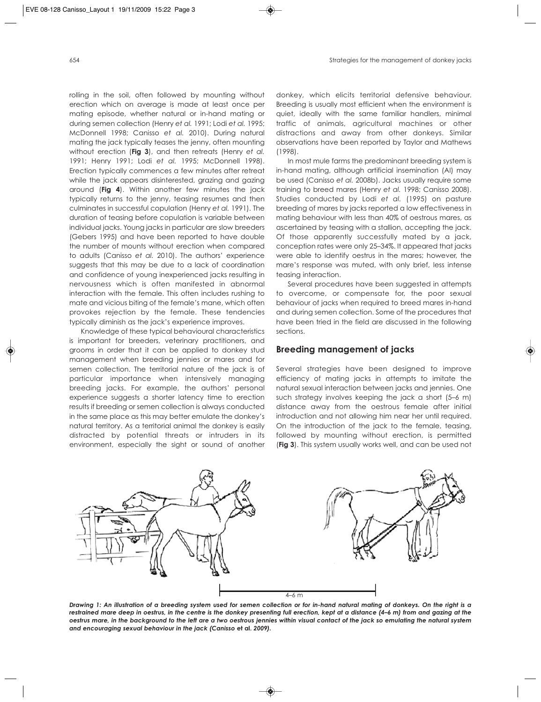rolling in the soil, often followed by mounting without erection which on average is made at least once per mating episode, whether natural or in-hand mating or during semen collection (Henry et al. 1991; Lodi et al. 1995; McDonnell 1998; Canisso et al. 2010). During natural mating the jack typically teases the jenny, often mounting without erection (Fig 3), and then retreats (Henry et al. 1991; Henry 1991; Lodi et al. 1995; McDonnell 1998). Erection typically commences a few minutes after retreat while the jack appears disinterested, grazing and gazing around (Fig 4). Within another few minutes the jack typically returns to the jenny, teasing resumes and then culminates in successful copulation (Henry et al. 1991). The duration of teasing before copulation is variable between individual jacks. Young jacks in particular are slow breeders (Gebers 1995) and have been reported to have double the number of mounts without erection when compared to adults (Canisso et al. 2010). The authors' experience suggests that this may be due to a lack of coordination and confidence of young inexperienced jacks resulting in nervousness which is often manifested in abnormal interaction with the female. This often includes rushing to mate and vicious biting of the female's mane, which often provokes rejection by the female. These tendencies typically diminish as the jack's experience improves.

Knowledge of these typical behavioural characteristics is important for breeders, veterinary practitioners, and grooms in order that it can be applied to donkey stud management when breeding jennies or mares and for semen collection. The territorial nature of the jack is of particular importance when intensively managing breeding jacks. For example, the authors' personal experience suggests a shorter latency time to erection results if breeding or semen collection is always conducted in the same place as this may better emulate the donkey's natural territory. As a territorial animal the donkey is easily distracted by potential threats or intruders in its environment, especially the sight or sound of another donkey, which elicits territorial defensive behaviour. Breeding is usually most efficient when the environment is quiet, ideally with the same familiar handlers, minimal traffic of animals, agricultural machines or other distractions and away from other donkeys. Similar observations have been reported by Taylor and Mathews  $(1998).$ 

In most mule farms the predominant breeding system is in-hand mating, although artificial insemination (AI) may be used (Canisso et al. 2008b). Jacks usually require some training to breed mares (Henry et al. 1998; Canisso 2008). Studies conducted by Lodi et al. (1995) on pasture breeding of mares by jacks reported a low effectiveness in mating behaviour with less than 40% of oestrous mares, as ascertained by teasing with a stallion, accepting the jack. Of those apparently successfully mated by a jack, conception rates were only 25-34%. It appeared that jacks were able to identify oestrus in the mares; however, the mare's response was muted, with only brief, less intense teasing interaction.

Several procedures have been suggested in attempts to overcome, or compensate for, the poor sexual behaviour of jacks when required to breed mares in-hand and during semen collection. Some of the procedures that have been tried in the field are discussed in the following sections.

#### **Breeding management of jacks**

Several strategies have been designed to improve efficiency of mating jacks in attempts to imitate the natural sexual interaction between jacks and jennies. One such strategy involves keeping the jack a short (5–6 m) distance away from the oestrous female after initial introduction and not allowing him near her until required. On the introduction of the jack to the female, teasing, followed by mounting without erection, is permitted (Fig 3). This system usually works well, and can be used not



Drawing 1: An illustration of a breeding system used for semen collection or for in-hand natural mating of donkeys. On the right is a restrained mare deep in oestrus, in the centre is the donkey presenting full erection, kept at a distance (4-6 m) from and gazing at the oestrus mare, in the background to the left are a two oestrous jennies within visual contact of the jack so emulating the natural system and encouraging sexual behaviour in the jack (Canisso et al. 2009).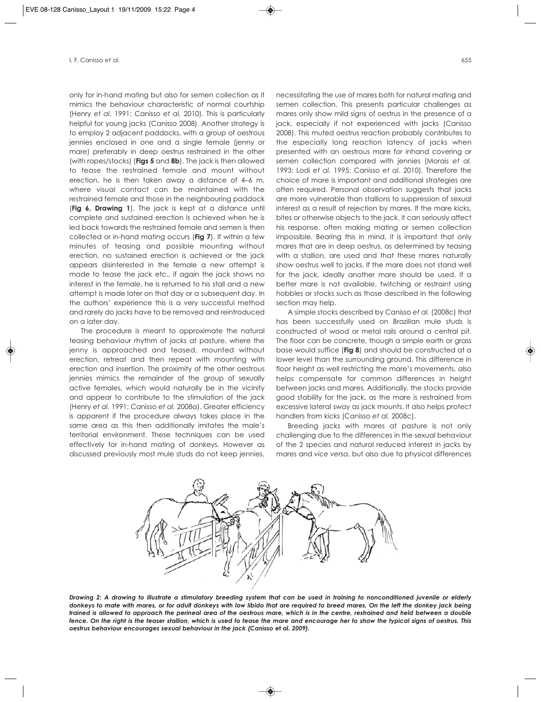only for in-hand mating but also for semen collection as it mimics the behaviour characteristic of normal courtship (Henry et al. 1991; Canisso et al. 2010). This is particularly helpful for young jacks (Canisso 2008). Another strategy is to employ 2 adjacent paddocks, with a group of oestrous jennies enclosed in one and a single female (jenny or mare) preferably in deep oestrus restrained in the other (with ropes/stocks) (Figs 5 and 8b). The jack is then allowed to tease the restrained female and mount without erection, he is then taken away a distance of 4-6 m, where visual contact can be maintained with the restrained female and those in the neighbouring paddock (Fig 6, Drawing 1). The jack is kept at a distance until complete and sustained erection is achieved when he is led back towards the restrained female and semen is then collected or in-hand mating occurs (Fig 7). If within a few minutes of teasing and possible mounting without erection, no sustained erection is achieved or the jack appears disinterested in the female a new attempt is made to tease the jack etc., if again the jack shows no interest in the female, he is returned to his stall and a new attempt is made later on that day or a subsequent day. In the authors' experience this is a very successful method and rarely do jacks have to be removed and reintroduced on a later day

The procedure is meant to approximate the natural teasing behaviour rhythm of jacks at pasture, where the jenny is approached and teased, mounted without erection, retreat and then repeat with mounting with erection and insertion. The proximity of the other oestrous jennies mimics the remainder of the group of sexually active females, which would naturally be in the vicinity and appear to contribute to the stimulation of the jack (Henry et al. 1991; Canisso et al. 2008a). Greater efficiency is apparent if the procedure always takes place in the same area as this then additionally imitates the male's territorial environment. These techniques can be used effectively for in-hand mating of donkeys. However as discussed previously most mule studs do not keep jennies,

necessitating the use of mares both for natural mating and semen collection. This presents particular challenges as mares only show mild signs of oestrus in the presence of a jack, especially if not experienced with jacks (Canisso 2008). This muted oestrus reaction probably contributes to the especially long reaction latency of jacks when presented with an oestrous mare for inhand covering or semen collection compared with jennies (Morais et al. 1993; Lodi et al. 1995; Canisso et al. 2010). Therefore the choice of mare is important and additional strategies are often required. Personal observation suggests that jacks are more vulnerable than stallions to suppression of sexual interest as a result of rejection by mares. If the mare kicks, bites or otherwise objects to the jack, it can seriously affect his response, often making mating or semen collection impossible. Bearing this in mind, it is important that only mares that are in deep oestrus, as determined by teasing with a stallion, are used and that these mares naturally show oestrus well to jacks. If the mare does not stand well for the jack, ideally another mare should be used. If a better mare is not available, twitching or restraint using hobbles or stocks such as those described in the following section may help.

A simple stocks described by Canisso et al. (2008c) that has been successfully used on Brazilian mule studs is constructed of wood or metal rails around a central pit. The floor can be concrete, though a simple earth or grass base would suffice (Fig 8) and should be constructed at a lower level than the surrounding ground. This difference in floor height as well restricting the mare's movements, also helps compensate for common differences in height between jacks and mares. Additionally, the stocks provide good stability for the jack, as the mare is restrained from excessive lateral sway as jack mounts. It also helps protect handlers from kicks (Canisso et al. 2008c).

Breeding jacks with mares at pasture is not only challenging due to the differences in the sexual behaviour of the 2 species and natural reduced interest in jacks by mares and vice versa, but also due to physical differences



Drawing 2: A drawing to illustrate a stimulatory breeding system that can be used in training to nonconditioned juvenile or elderly donkeys to mate with mares, or for adult donkeys with low libido that are required to breed mares. On the left the donkey jack being trained is allowed to approach the perineal area of the oestrous mare, which is in the centre, restrained and held between a double fence. On the right is the teaser stallion, which is used to tease the mare and encourage her to show the typical signs of oestrus. This oestrus behaviour encourages sexual behaviour in the jack (Canisso et al. 2009).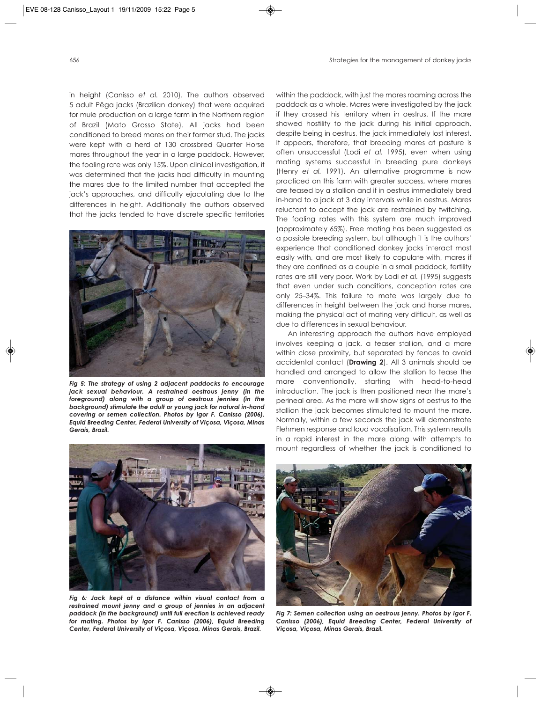in height (Canisso et al. 2010). The authors observed 5 adult Pêga jacks (Brazilian donkey) that were acquired for mule production on a large farm in the Northern region of Brazil (Mato Grosso State). All jacks had been conditioned to breed mares on their former stud. The jacks were kept with a herd of 130 crossbred Quarter Horse mares throughout the year in a large paddock. However, the foaling rate was only 15%. Upon clinical investigation, it was determined that the jacks had difficulty in mounting the mares due to the limited number that accepted the jack's approaches, and difficulty ejaculating due to the differences in height. Additionally the authors observed that the jacks tended to have discrete specific territories



Fig 5: The strategy of using 2 adjacent paddocks to encourage jack sexual behaviour. A restrained oestrous jenny (in the foreground) along with a group of oestrous jennies (in the background) stimulate the adult or young jack for natural in-hand covering or semen collection. Photos by Igor F. Canisso (2006), Equid Breeding Center, Federal University of Viçosa, Viçosa, Minas Gerais, Brazil.

within the paddock, with just the mares roaming across the paddock as a whole. Mares were investigated by the jack if they crossed his territory when in oestrus. If the mare showed hostility to the jack during his initial approach, despite being in oestrus, the jack immediately lost interest. It appears, therefore, that breeding mares at pasture is often unsuccessful (Lodi et al. 1995), even when using mating systems successful in breeding pure donkeys (Henry et al. 1991). An alternative programme is now practiced on this farm with greater success, where mares are teased by a stallion and if in oestrus immediately bred in-hand to a jack at 3 day intervals while in oestrus. Mares reluctant to accept the jack are restrained by twitching. The foaling rates with this system are much improved (approximately 65%). Free mating has been suggested as a possible breeding system, but although it is the authors' experience that conditioned donkey jacks interact most easily with, and are most likely to copulate with, mares if they are confined as a couple in a small paddock, fertility rates are still very poor. Work by Lodi et al. (1995) suggests that even under such conditions, conception rates are only 25-34%. This failure to mate was largely due to differences in height between the jack and horse mares, making the physical act of mating very difficult, as well as due to differences in sexual behaviour.

An interesting approach the authors have employed involves keeping a jack, a teaser stallion, and a mare within close proximity, but separated by fences to avoid accidental contact (Drawing 2). All 3 animals should be handled and arranged to allow the stallion to tease the mare conventionally, starting with head-to-head introduction. The jack is then positioned near the mare's perineal area. As the mare will show signs of oestrus to the stallion the jack becomes stimulated to mount the mare. Normally, within a few seconds the jack will demonstrate Flehmen response and loud vocalisation. This system results in a rapid interest in the mare along with attempts to mount regardless of whether the jack is conditioned to



Fig 6: Jack kept at a distance within visual contact from a restrained mount jenny and a group of jennies in an adjacent paddock (in the background) until full erection is achieved ready for mating. Photos by Igor F. Canisso (2006), Equid Breeding Center, Federal University of Viçosa, Viçosa, Minas Gerais, Brazil.



Fig 7: Semen collection using an oestrous jenny. Photos by Igor F. Canisso (2006), Equid Breeding Center, Federal University of Viçosa, Viçosa, Minas Gerais, Brazil.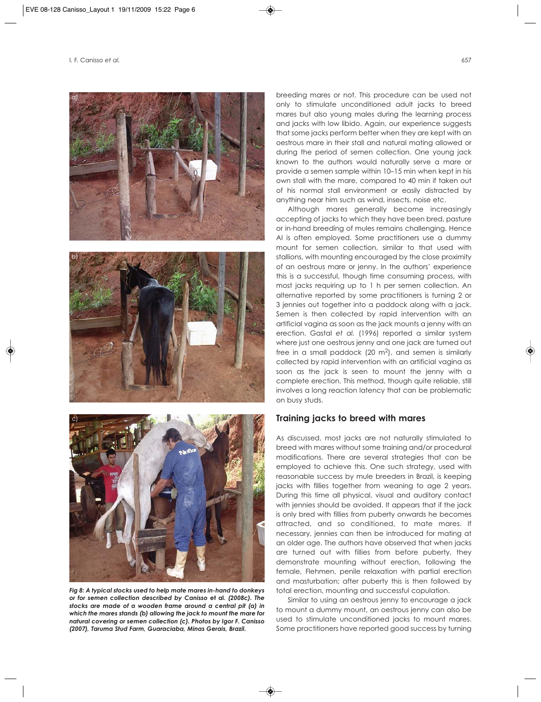





Fig 8: A typical stocks used to help mate mares in-hand to donkeys or for semen collection described by Canisso et al. (2008c). The stocks are made of a wooden frame around a central pit (a) in which the mares stands (b) allowing the jack to mount the mare for natural covering or semen collection (c). Photos by Igor F. Canisso (2007), Taruma Stud Farm, Guaraciaba, Minas Gerais, Brazil.

breeding mares or not. This procedure can be used not only to stimulate unconditioned adult jacks to breed mares but also young males during the learning process and jacks with low libido. Again, our experience suggests that some jacks perform better when they are kept with an oestrous mare in their stall and natural mating allowed or during the period of semen collection. One young jack known to the authors would naturally serve a mare or provide a semen sample within 10-15 min when kept in his own stall with the mare, compared to 40 min if taken out of his normal stall environment or easily distracted by anything near him such as wind, insects, noise etc.

Although mares generally become increasingly accepting of jacks to which they have been bred, pasture or in-hand breeding of mules remains challenging. Hence Al is often employed. Some practitioners use a dummy mount for semen collection, similar to that used with stallions, with mounting encouraged by the close proximity of an oestrous mare or jenny. In the authors' experience this is a successful, though time consuming process, with most jacks requiring up to 1 h per semen collection. An alternative reported by some practitioners is turning 2 or 3 jennies out together into a paddock along with a jack. Semen is then collected by rapid intervention with an artificial vagina as soon as the jack mounts a jenny with an erection. Gastal et al. (1996) reported a similar system where just one oestrous jenny and one jack are turned out free in a small paddock  $(20 \text{ m}^2)$ , and semen is similarly collected by rapid intervention with an artificial vagina as soon as the jack is seen to mount the jenny with a complete erection. This method, though quite reliable, still involves a long reaction latency that can be problematic on busy studs.

#### Training jacks to breed with mares

As discussed, most jacks are not naturally stimulated to breed with mares without some training and/or procedural modifications. There are several strategies that can be employed to achieve this. One such strategy, used with reasonable success by mule breeders in Brazil, is keeping jacks with fillies together from weaning to age 2 years. During this time all physical, visual and auditory contact with jennies should be avoided. It appears that if the jack is only bred with fillies from puberty onwards he becomes attracted, and so conditioned, to mate mares. If necessary, jennies can then be introduced for mating at an older age. The authors have observed that when jacks are turned out with fillies from before puberty, they demonstrate mounting without erection, following the female, Flehmen, penile relaxation with partial erection and masturbation; after puberty this is then followed by total erection, mounting and successful copulation.

Similar to using an oestrous jenny to encourage a jack to mount a dummy mount, an oestrous jenny can also be used to stimulate unconditioned jacks to mount mares. Some practitioners have reported good success by turning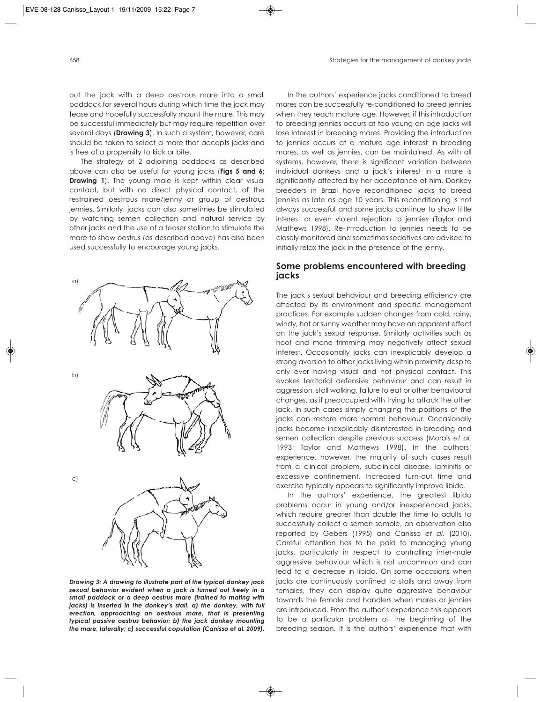out the jack with a deep oestrous mare into a small paddock for several hours during which time the jack may tease and hopefully successfully mount the mare. This may be successful immediately but may require repetition over several days (**Drawing 3**). In such a system, however, care should be taken to select a mare that accepts jacks and is free of a propensity to kick or bite.

The strategy of 2 adjoining paddocks as described above can also be useful for young jacks (Figs 5 and 6; **Drawing 1).** The young male is kept within clear visual contact, but with no direct physical contact, of the restrained oestrous mare/jenny or group of oestrous jennies. Similarly, jacks can also sometimes be stimulated by watching semen collection and natural service by other jacks and the use of a teaser stallion to stimulate the mare to show oestrus (as described above) has also been used successfully to encourage young jacks.



Drawing 3: A drawing to illustrate part of the typical donkey jack sexual behavior evident when a jack is turned out freely in a small paddock or a deep oestrus mare (trained to mating with jacks) is inserted in the donkey's stall. a) the donkey, with full erection, approaching an oestrous mare, that is presenting typical passive oestrus behavior; b) the jack donkey mounting the mare, laterally; c) successful copulation (Canisso et al. 2009).

In the authors' experience jacks conditioned to breed mares can be successfully re-conditioned to breed jennies when they reach mature age. However, if this introduction to breeding jennies occurs at too young an age jacks will lose interest in breeding mares. Providing the introduction to jennies occurs at a mature age interest in breeding mares, as well as jennies, can be maintained. As with all systems, however, there is significant variation between individual donkeys and a jack's interest in a mare is significantly affected by her acceptance of him. Donkey breeders in Brazil have reconditioned jacks to breed jennies as late as age 10 years. This reconditioning is not always successful and some jacks continue to show little interest or even violent rejection to jennies (Taylor and Mathews 1998). Re-introduction to jennies needs to be closely monitored and sometimes sedatives are advised to initially relax the jack in the presence of the jenny.

#### Some problems encountered with breeding jacks

The jack's sexual behaviour and breeding efficiency are affected by its environment and specific management practices. For example sudden changes from cold, rainy, windy, hot or sunny weather may have an apparent effect on the jack's sexual response. Similarly activities such as hoof and mane trimming may negatively affect sexual interest. Occasionally jacks can inexplicably develop a strong aversion to other jacks living within proximity despite only ever having visual and not physical contact. This evokes territorial defensive behaviour and can result in aggression, stall walking, failure to eat or other behavioural changes, as if preoccupied with trying to attack the other jack. In such cases simply changing the positions of the jacks can restore more normal behaviour. Occasionally jacks become inexplicably disinterested in breeding and semen collection despite previous success (Morais et al. 1993; Taylor and Mathews 1998). In the authors' experience, however, the majority of such cases result from a clinical problem, subclinical disease, laminitis or excessive confinement. Increased turn-out time and exercise typically appears to significantly improve libido.

In the authors' experience, the greatest libido problems occur in young and/or inexperienced jacks, which require greater than double the time to adults to successfully collect a semen sample, an observation also reported by Gebers (1995) and Canisso et al. (2010). Careful attention has to be paid to managing young jacks, particularly in respect to controlling inter-male aggressive behaviour which is not uncommon and can lead to a decrease in libido. On some occasions when jacks are continuously confined to stalls and away from females, they can display quite aggressive behaviour towards the female and handlers when mares or jennies are introduced. From the author's experience this appears to be a particular problem at the beginning of the breeding season. It is the authors' experience that with